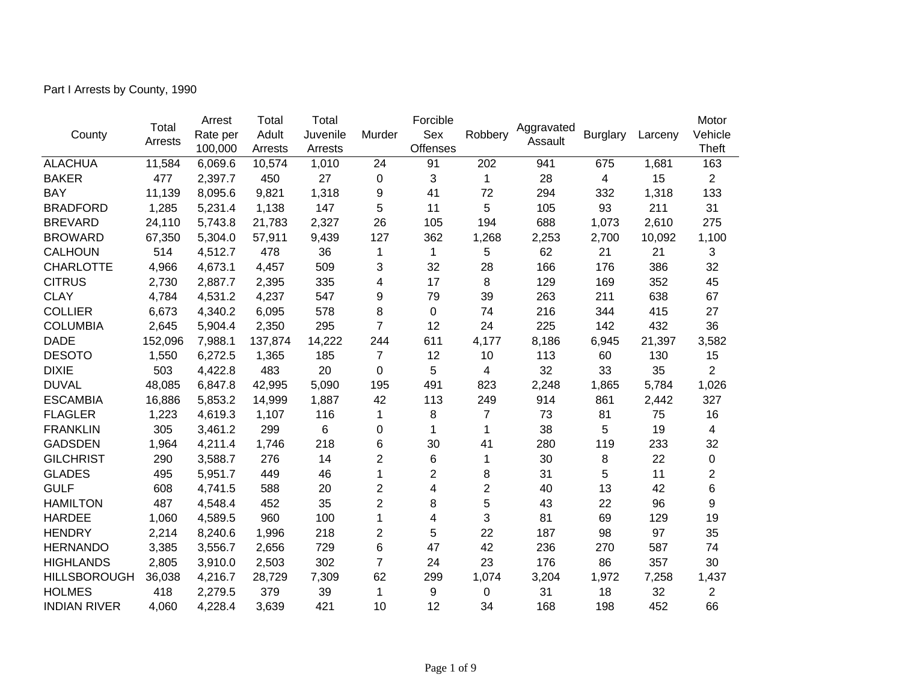Part I Arrests by County, 1990

|                     |         | Arrest   | Total   | Total    |                | Forcible        |                |            |                 |         | Motor          |
|---------------------|---------|----------|---------|----------|----------------|-----------------|----------------|------------|-----------------|---------|----------------|
| County              | Total   | Rate per | Adult   | Juvenile | Murder         | Sex             | Robbery        | Aggravated | <b>Burglary</b> | Larceny | Vehicle        |
|                     | Arrests | 100,000  | Arrests | Arrests  |                | <b>Offenses</b> |                | Assault    |                 |         | Theft          |
| <b>ALACHUA</b>      | 11,584  | 6,069.6  | 10,574  | 1,010    | 24             | 91              | 202            | 941        | 675             | 1,681   | 163            |
| <b>BAKER</b>        | 477     | 2,397.7  | 450     | 27       | 0              | 3               | $\mathbf 1$    | 28         | 4               | 15      | $\overline{2}$ |
| <b>BAY</b>          | 11,139  | 8,095.6  | 9,821   | 1,318    | 9              | 41              | 72             | 294        | 332             | 1,318   | 133            |
| <b>BRADFORD</b>     | 1,285   | 5,231.4  | 1,138   | 147      | 5              | 11              | 5              | 105        | 93              | 211     | 31             |
| <b>BREVARD</b>      | 24,110  | 5,743.8  | 21,783  | 2,327    | 26             | 105             | 194            | 688        | 1,073           | 2,610   | 275            |
| <b>BROWARD</b>      | 67,350  | 5,304.0  | 57,911  | 9,439    | 127            | 362             | 1,268          | 2,253      | 2,700           | 10,092  | 1,100          |
| <b>CALHOUN</b>      | 514     | 4,512.7  | 478     | 36       | 1              | $\mathbf{1}$    | 5              | 62         | 21              | 21      | 3              |
| <b>CHARLOTTE</b>    | 4,966   | 4,673.1  | 4,457   | 509      | 3              | 32              | 28             | 166        | 176             | 386     | 32             |
| <b>CITRUS</b>       | 2,730   | 2,887.7  | 2,395   | 335      | 4              | 17              | 8              | 129        | 169             | 352     | 45             |
| <b>CLAY</b>         | 4,784   | 4,531.2  | 4,237   | 547      | 9              | 79              | 39             | 263        | 211             | 638     | 67             |
| <b>COLLIER</b>      | 6,673   | 4,340.2  | 6,095   | 578      | 8              | $\Omega$        | 74             | 216        | 344             | 415     | 27             |
| <b>COLUMBIA</b>     | 2,645   | 5,904.4  | 2,350   | 295      | $\overline{7}$ | 12              | 24             | 225        | 142             | 432     | 36             |
| <b>DADE</b>         | 152,096 | 7,988.1  | 137,874 | 14,222   | 244            | 611             | 4,177          | 8,186      | 6,945           | 21,397  | 3,582          |
| <b>DESOTO</b>       | 1,550   | 6,272.5  | 1,365   | 185      | $\overline{7}$ | 12              | 10             | 113        | 60              | 130     | 15             |
| <b>DIXIE</b>        | 503     | 4,422.8  | 483     | 20       | 0              | 5               | 4              | 32         | 33              | 35      | $\overline{2}$ |
| <b>DUVAL</b>        | 48,085  | 6,847.8  | 42,995  | 5,090    | 195            | 491             | 823            | 2,248      | 1,865           | 5,784   | 1,026          |
| <b>ESCAMBIA</b>     | 16,886  | 5,853.2  | 14,999  | 1,887    | 42             | 113             | 249            | 914        | 861             | 2,442   | 327            |
| <b>FLAGLER</b>      | 1,223   | 4,619.3  | 1,107   | 116      | 1              | 8               | 7              | 73         | 81              | 75      | 16             |
| <b>FRANKLIN</b>     | 305     | 3,461.2  | 299     | 6        | 0              | 1               | 1              | 38         | 5               | 19      | 4              |
| <b>GADSDEN</b>      | 1,964   | 4,211.4  | 1,746   | 218      | 6              | 30              | 41             | 280        | 119             | 233     | 32             |
| <b>GILCHRIST</b>    | 290     | 3,588.7  | 276     | 14       | $\overline{2}$ | 6               | 1              | 30         | 8               | 22      | $\pmb{0}$      |
| <b>GLADES</b>       | 495     | 5,951.7  | 449     | 46       | 1              | $\overline{2}$  | 8              | 31         | 5               | 11      | $\overline{2}$ |
| <b>GULF</b>         | 608     | 4,741.5  | 588     | 20       | 2              | 4               | $\overline{2}$ | 40         | 13              | 42      | 6              |
| <b>HAMILTON</b>     | 487     | 4,548.4  | 452     | 35       | $\overline{2}$ | 8               | 5              | 43         | 22              | 96      | 9              |
| <b>HARDEE</b>       | 1,060   | 4,589.5  | 960     | 100      | 1              | 4               | 3              | 81         | 69              | 129     | 19             |
| <b>HENDRY</b>       | 2,214   | 8,240.6  | 1,996   | 218      | 2              | 5               | 22             | 187        | 98              | 97      | 35             |
| <b>HERNANDO</b>     | 3,385   | 3,556.7  | 2,656   | 729      | 6              | 47              | 42             | 236        | 270             | 587     | 74             |
| <b>HIGHLANDS</b>    | 2,805   | 3,910.0  | 2,503   | 302      | $\overline{7}$ | 24              | 23             | 176        | 86              | 357     | 30             |
| <b>HILLSBOROUGH</b> | 36,038  | 4,216.7  | 28,729  | 7,309    | 62             | 299             | 1,074          | 3,204      | 1,972           | 7,258   | 1,437          |
| <b>HOLMES</b>       | 418     | 2,279.5  | 379     | 39       | 1              | 9               | 0              | 31         | 18              | 32      | 2              |
| <b>INDIAN RIVER</b> | 4,060   | 4,228.4  | 3,639   | 421      | 10             | 12              | 34             | 168        | 198             | 452     | 66             |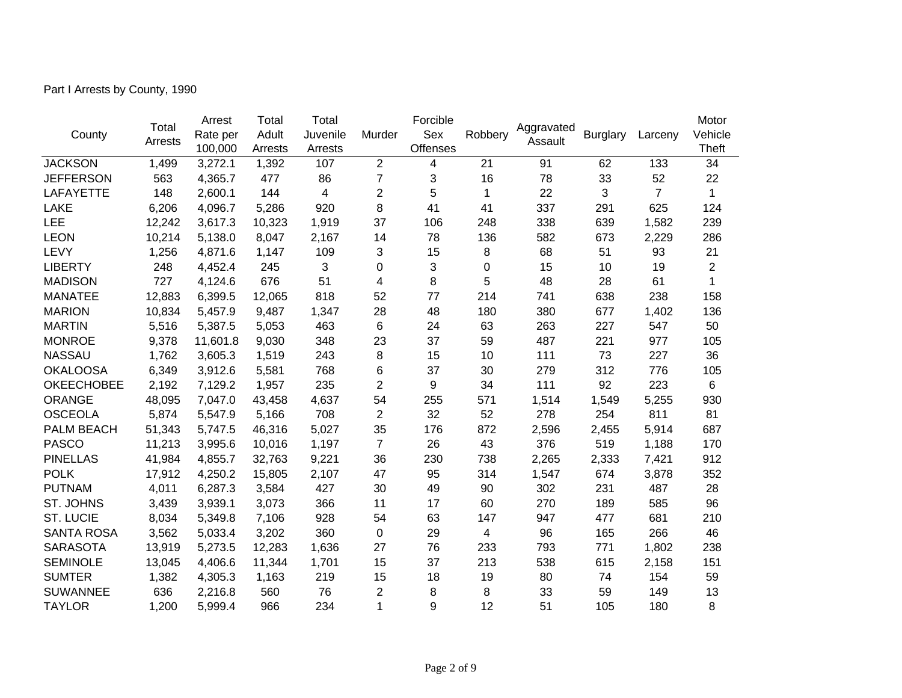Part I Arrests by County, 1990

|                   |         | Arrest   | Total   | Total    |                | Forcible        |                |            |                 |                                                                                                                                                               | Motor          |
|-------------------|---------|----------|---------|----------|----------------|-----------------|----------------|------------|-----------------|---------------------------------------------------------------------------------------------------------------------------------------------------------------|----------------|
| County            | Total   | Rate per | Adult   | Juvenile | Murder         | Sex             | Robbery        | Aggravated | <b>Burglary</b> | Larceny<br>133<br>52<br>$\overline{7}$<br>625<br>1,582<br>2,229<br>93<br>19<br>61<br>238<br>1,402<br>547<br>977<br>227<br>776<br>223<br>5,255<br>811<br>5,914 | Vehicle        |
|                   | Arrests | 100,000  | Arrests | Arrests  |                | <b>Offenses</b> |                | Assault    |                 |                                                                                                                                                               | Theft          |
| <b>JACKSON</b>    | 1,499   | 3,272.1  | 1,392   | 107      | 2              | 4               | 21             | 91         | 62              |                                                                                                                                                               | 34             |
| <b>JEFFERSON</b>  | 563     | 4,365.7  | 477     | 86       | $\overline{7}$ | 3               | 16             | 78         | 33              |                                                                                                                                                               | 22             |
| <b>LAFAYETTE</b>  | 148     | 2,600.1  | 144     | 4        | $\overline{2}$ | 5               | $\mathbf{1}$   | 22         | 3               |                                                                                                                                                               | $\mathbf{1}$   |
| <b>LAKE</b>       | 6,206   | 4,096.7  | 5,286   | 920      | 8              | 41              | 41             | 337        | 291             |                                                                                                                                                               | 124            |
| LEE               | 12,242  | 3,617.3  | 10,323  | 1,919    | 37             | 106             | 248            | 338        | 639             |                                                                                                                                                               | 239            |
| <b>LEON</b>       | 10,214  | 5,138.0  | 8,047   | 2,167    | 14             | 78              | 136            | 582        | 673             |                                                                                                                                                               | 286            |
| LEVY              | 1,256   | 4,871.6  | 1,147   | 109      | 3              | 15              | 8              | 68         | 51              |                                                                                                                                                               | 21             |
| <b>LIBERTY</b>    | 248     | 4,452.4  | 245     | 3        | 0              | 3               | 0              | 15         | 10              |                                                                                                                                                               | $\overline{2}$ |
| <b>MADISON</b>    | 727     | 4,124.6  | 676     | 51       | 4              | 8               | 5              | 48         | 28              |                                                                                                                                                               | $\mathbf{1}$   |
| <b>MANATEE</b>    | 12,883  | 6,399.5  | 12,065  | 818      | 52             | 77              | 214            | 741        | 638             |                                                                                                                                                               | 158            |
| <b>MARION</b>     | 10,834  | 5,457.9  | 9,487   | 1,347    | 28             | 48              | 180            | 380        | 677             |                                                                                                                                                               | 136            |
| <b>MARTIN</b>     | 5,516   | 5,387.5  | 5,053   | 463      | 6              | 24              | 63             | 263        | 227             |                                                                                                                                                               | 50             |
| <b>MONROE</b>     | 9,378   | 11,601.8 | 9,030   | 348      | 23             | 37              | 59             | 487        | 221             |                                                                                                                                                               | 105            |
| <b>NASSAU</b>     | 1,762   | 3,605.3  | 1,519   | 243      | 8              | 15              | 10             | 111        | 73              |                                                                                                                                                               | 36             |
| <b>OKALOOSA</b>   | 6,349   | 3,912.6  | 5,581   | 768      | 6              | 37              | 30             | 279        | 312             |                                                                                                                                                               | 105            |
| <b>OKEECHOBEE</b> | 2,192   | 7,129.2  | 1,957   | 235      | $\overline{2}$ | 9               | 34             | 111        | 92              |                                                                                                                                                               | $6\phantom{1}$ |
| <b>ORANGE</b>     | 48,095  | 7,047.0  | 43,458  | 4,637    | 54             | 255             | 571            | 1,514      | 1,549           |                                                                                                                                                               | 930            |
| <b>OSCEOLA</b>    | 5,874   | 5,547.9  | 5,166   | 708      | $\overline{c}$ | 32              | 52             | 278        | 254             |                                                                                                                                                               | 81             |
| PALM BEACH        | 51,343  | 5,747.5  | 46,316  | 5,027    | 35             | 176             | 872            | 2,596      | 2,455           |                                                                                                                                                               | 687            |
| <b>PASCO</b>      | 11,213  | 3,995.6  | 10,016  | 1,197    | $\overline{7}$ | 26              | 43             | 376        | 519             | 1,188                                                                                                                                                         | 170            |
| <b>PINELLAS</b>   | 41,984  | 4,855.7  | 32,763  | 9,221    | 36             | 230             | 738            | 2,265      | 2,333           | 7,421                                                                                                                                                         | 912            |
| <b>POLK</b>       | 17,912  | 4,250.2  | 15,805  | 2,107    | 47             | 95              | 314            | 1,547      | 674             | 3,878                                                                                                                                                         | 352            |
| <b>PUTNAM</b>     | 4,011   | 6,287.3  | 3,584   | 427      | 30             | 49              | 90             | 302        | 231             | 487                                                                                                                                                           | 28             |
| ST. JOHNS         | 3,439   | 3,939.1  | 3,073   | 366      | 11             | 17              | 60             | 270        | 189             | 585                                                                                                                                                           | 96             |
| <b>ST. LUCIE</b>  | 8,034   | 5,349.8  | 7,106   | 928      | 54             | 63              | 147            | 947        | 477             | 681                                                                                                                                                           | 210            |
| <b>SANTA ROSA</b> | 3,562   | 5,033.4  | 3,202   | 360      | 0              | 29              | $\overline{4}$ | 96         | 165             | 266                                                                                                                                                           | 46             |
| <b>SARASOTA</b>   | 13,919  | 5,273.5  | 12,283  | 1,636    | 27             | 76              | 233            | 793        | 771             | 1,802                                                                                                                                                         | 238            |
| <b>SEMINOLE</b>   | 13,045  | 4,406.6  | 11,344  | 1,701    | 15             | 37              | 213            | 538        | 615             | 2,158                                                                                                                                                         | 151            |
| <b>SUMTER</b>     | 1,382   | 4,305.3  | 1,163   | 219      | 15             | 18              | 19             | 80         | 74              | 154                                                                                                                                                           | 59             |
| <b>SUWANNEE</b>   | 636     | 2,216.8  | 560     | 76       | $\overline{2}$ | 8               | 8              | 33         | 59              | 149                                                                                                                                                           | 13             |
| <b>TAYLOR</b>     | 1,200   | 5,999.4  | 966     | 234      | 1              | 9               | 12             | 51         | 105             | 180                                                                                                                                                           | 8              |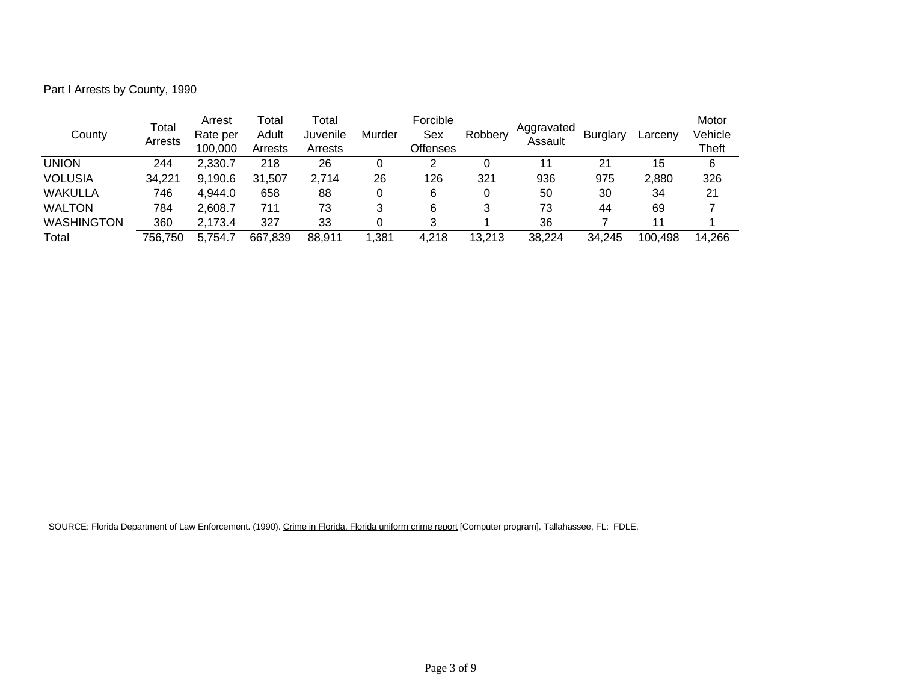Part I Arrests by County, 1990

| County            | Total<br>Arrests | Arrest<br>Rate per<br>100.000 | ⊺otal<br>Adult<br>Arrests | Total<br>Juvenile<br>Arrests | Murder | Forcible<br>Sex<br>Offenses | Robbery | Aggravated<br>Assault | <b>Burglary</b> | Larcenv | Motor<br>Vehicle<br><b>Theft</b> |
|-------------------|------------------|-------------------------------|---------------------------|------------------------------|--------|-----------------------------|---------|-----------------------|-----------------|---------|----------------------------------|
| <b>UNION</b>      | 244              | 2,330.7                       | 218                       | 26                           | 0      | 2                           |         | 11                    | 21              | 15      | 6                                |
| <b>VOLUSIA</b>    | 34,221           | 9,190.6                       | 31,507                    | 2,714                        | 26     | 126                         | 321     | 936                   | 975             | 2,880   | 326                              |
| WAKULLA           | 746              | 4,944.0                       | 658                       | 88                           | 0      | 6                           |         | 50                    | 30              | 34      | 21                               |
| <b>WALTON</b>     | 784              | 2.608.7                       | 711                       | 73                           | 3      | 6                           | 3       | 73                    | 44              | 69      |                                  |
| <b>WASHINGTON</b> | 360              | 2,173.4                       | 327                       | 33                           | 0      | 3                           |         | 36                    |                 | 11      |                                  |
| Total             | 756,750          | 5,754.7                       | 667,839                   | 88,911                       | 1,381  | 4,218                       | 13,213  | 38,224                | 34,245          | 100,498 | 14,266                           |

SOURCE: Florida Department of Law Enforcement. (1990). Crime in Florida, Florida uniform crime report [Computer program]. Tallahassee, FL: FDLE.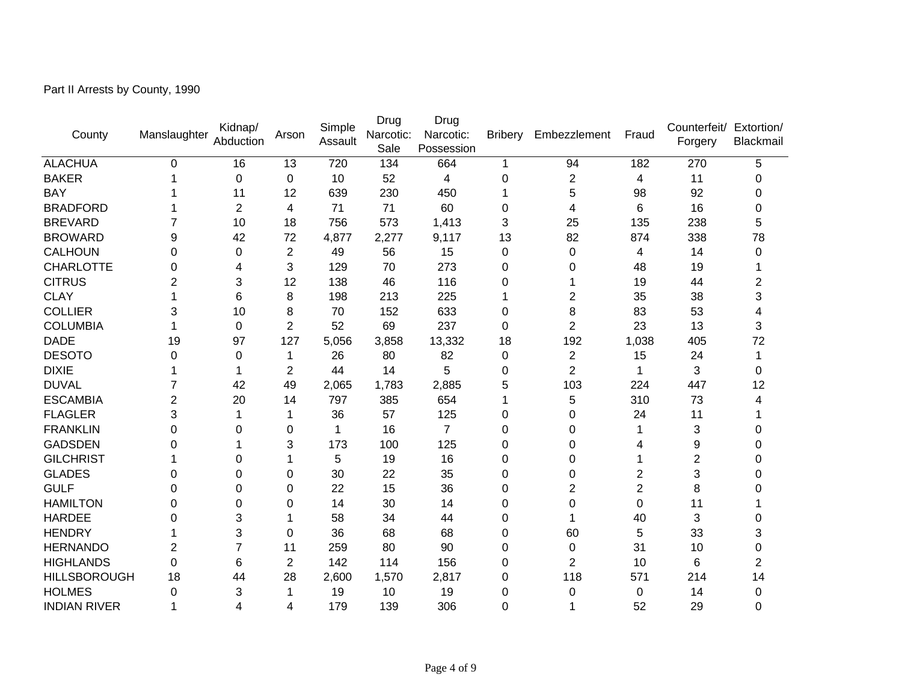Part II Arrests by County, 1990

| County              | Manslaughter | Kidnap/<br>Abduction | Arson          | Simple<br>Assault | Drug<br>Narcotic:<br>Sale | Drug<br>Narcotic:<br>Possession | <b>Bribery</b> | Embezzlement   | Fraud            | Counterfeit/ Extortion/<br>Forgery | Blackmail      |
|---------------------|--------------|----------------------|----------------|-------------------|---------------------------|---------------------------------|----------------|----------------|------------------|------------------------------------|----------------|
| <b>ALACHUA</b>      | 0            | 16                   | 13             | 720               | 134                       | 664                             | 1              | 94             | 182              | 270                                | 5              |
| <b>BAKER</b>        |              | 0                    | $\mathbf 0$    | 10                | 52                        | 4                               | 0              | $\overline{c}$ | 4                | 11                                 | 0              |
| <b>BAY</b>          |              | 11                   | 12             | 639               | 230                       | 450                             | 1              | 5              | 98               | 92                                 | $\Omega$       |
| <b>BRADFORD</b>     |              | $\overline{2}$       | 4              | 71                | 71                        | 60                              | 0              | 4              | 6                | 16                                 | 0              |
| <b>BREVARD</b>      |              | 10                   | 18             | 756               | 573                       | 1,413                           | 3              | 25             | 135              | 238                                | 5              |
| <b>BROWARD</b>      | 9            | 42                   | 72             | 4,877             | 2,277                     | 9,117                           | 13             | 82             | 874              | 338                                | 78             |
| <b>CALHOUN</b>      | 0            | 0                    | 2              | 49                | 56                        | 15                              | 0              | 0              | 4                | 14                                 | 0              |
| <b>CHARLOTTE</b>    | 0            | 4                    | 3              | 129               | 70                        | 273                             | $\mathbf 0$    | 0              | 48               | 19                                 |                |
| <b>CITRUS</b>       | 2            | 3                    | 12             | 138               | 46                        | 116                             | 0              |                | 19               | 44                                 | $\overline{2}$ |
| <b>CLAY</b>         |              | 6                    | 8              | 198               | 213                       | 225                             | 1              | $\overline{2}$ | 35               | 38                                 | 3              |
| <b>COLLIER</b>      | 3            | 10                   | 8              | 70                | 152                       | 633                             | 0              | 8              | 83               | 53                                 | 4              |
| <b>COLUMBIA</b>     |              | 0                    | 2              | 52                | 69                        | 237                             | 0              | $\overline{2}$ | 23               | 13                                 | 3              |
| <b>DADE</b>         | 19           | 97                   | 127            | 5,056             | 3,858                     | 13,332                          | 18             | 192            | 1,038            | 405                                | 72             |
| <b>DESOTO</b>       | 0            | 0                    | 1              | 26                | 80                        | 82                              | 0              | $\overline{2}$ | 15               | 24                                 | 1              |
| <b>DIXIE</b>        |              | 1                    | $\overline{c}$ | 44                | 14                        | 5                               | 0              | $\overline{2}$ | 1                | 3                                  | 0              |
| <b>DUVAL</b>        |              | 42                   | 49             | 2,065             | 1,783                     | 2,885                           | 5              | 103            | 224              | 447                                | 12             |
| <b>ESCAMBIA</b>     | 2            | 20                   | 14             | 797               | 385                       | 654                             | 1              | 5              | 310              | 73                                 | 4              |
| <b>FLAGLER</b>      | 3            | 1                    | 1              | 36                | 57                        | 125                             | 0              | 0              | 24               | 11                                 |                |
| <b>FRANKLIN</b>     | 0            | 0                    | 0              | 1                 | 16                        | $\overline{7}$                  | 0              | $\Omega$       |                  | 3                                  | 0              |
| <b>GADSDEN</b>      | 0            |                      | 3              | 173               | 100                       | 125                             | 0              | 0              | 4                | 9                                  | 0              |
| <b>GILCHRIST</b>    |              | 0                    | 1              | 5                 | 19                        | 16                              | 0              | 0              |                  | 2                                  | $\Omega$       |
| <b>GLADES</b>       | 0            | 0                    | 0              | 30                | 22                        | 35                              | 0              | 0              | 2                | 3                                  | 0              |
| <b>GULF</b>         | 0            | $\Omega$             | 0              | 22                | 15                        | 36                              | 0              | $\overline{2}$ | $\overline{2}$   | 8                                  | 0              |
| <b>HAMILTON</b>     | 0            | $\Omega$             | 0              | 14                | 30                        | 14                              | 0              | 0              | 0                | 11                                 |                |
| <b>HARDEE</b>       | 0            | 3                    |                | 58                | 34                        | 44                              | 0              |                | 40               | 3                                  | $\Omega$       |
| <b>HENDRY</b>       |              | 3                    | 0              | 36                | 68                        | 68                              | 0              | 60             | 5                | 33                                 | 3              |
| <b>HERNANDO</b>     | 2            | $\overline{7}$       | 11             | 259               | 80                        | 90                              | 0              | 0              | 31               | 10                                 | 0              |
| <b>HIGHLANDS</b>    | 0            | 6                    | $\overline{2}$ | 142               | 114                       | 156                             | 0              | $\overline{2}$ | 10               | 6                                  | $\overline{2}$ |
| <b>HILLSBOROUGH</b> | 18           | 44                   | 28             | 2,600             | 1,570                     | 2,817                           | 0              | 118            | 571              | 214                                | 14             |
| <b>HOLMES</b>       | 0            | 3                    | 1              | 19                | 10                        | 19                              | 0              | 0              | $\boldsymbol{0}$ | 14                                 | 0              |
| <b>INDIAN RIVER</b> |              | 4                    | 4              | 179               | 139                       | 306                             | 0              |                | 52               | 29                                 | $\mathbf 0$    |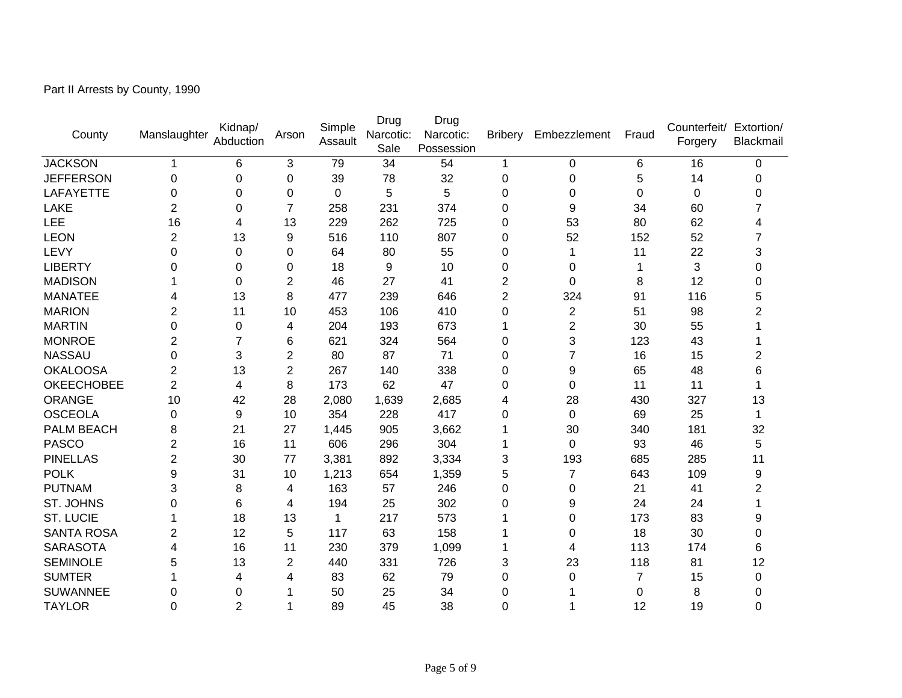Part II Arrests by County, 1990

| County            | Manslaughter | Kidnap/<br>Abduction | Arson          | Simple<br>Assault | Drug<br>Narcotic:<br>Sale | Drug<br>Narcotic:<br>Possession | <b>Bribery</b> | Embezzlement              | Fraud          | Counterfeit/ Extortion/<br>Forgery | Blackmail      |
|-------------------|--------------|----------------------|----------------|-------------------|---------------------------|---------------------------------|----------------|---------------------------|----------------|------------------------------------|----------------|
| <b>JACKSON</b>    |              | 6                    | 3              | 79                | 34                        | 54                              | 1              | $\mathbf 0$               | 6              | 16                                 | 0              |
| <b>JEFFERSON</b>  | 0            | 0                    | 0              | 39                | 78                        | 32                              | 0              | 0                         | 5              | 14                                 | 0              |
| LAFAYETTE         | 0            | $\Omega$             | 0              | 0                 | 5                         | 5                               | 0              | $\Omega$                  | 0              | 0                                  | $\Omega$       |
| LAKE              | 2            | 0                    | $\overline{7}$ | 258               | 231                       | 374                             | 0              | 9                         | 34             | 60                                 | 7              |
| LEE               | 16           | 4                    | 13             | 229               | 262                       | 725                             | 0              | 53                        | 80             | 62                                 | 4              |
| <b>LEON</b>       | 2            | 13                   | 9              | 516               | 110                       | 807                             | 0              | 52                        | 152            | 52                                 | 7              |
| LEVY              | 0            | 0                    | 0              | 64                | 80                        | 55                              | 0              |                           | 11             | 22                                 | 3              |
| <b>LIBERTY</b>    | 0            | 0                    | 0              | 18                | 9                         | 10                              | 0              | 0                         |                | 3                                  | 0              |
| <b>MADISON</b>    |              | 0                    | $\overline{c}$ | 46                | 27                        | 41                              | $\overline{2}$ | 0                         | 8              | 12                                 | 0              |
| <b>MANATEE</b>    | 4            | 13                   | 8              | 477               | 239                       | 646                             | $\overline{2}$ | 324                       | 91             | 116                                | 5              |
| <b>MARION</b>     | 2            | 11                   | 10             | 453               | 106                       | 410                             | 0              | $\overline{c}$            | 51             | 98                                 | $\overline{2}$ |
| <b>MARTIN</b>     | 0            | 0                    | 4              | 204               | 193                       | 673                             | 1              | $\overline{2}$            | 30             | 55                                 |                |
| <b>MONROE</b>     | 2            | $\overline{7}$       | 6              | 621               | 324                       | 564                             | 0              | $\ensuremath{\mathsf{3}}$ | 123            | 43                                 |                |
| <b>NASSAU</b>     | 0            | 3                    | $\overline{c}$ | 80                | 87                        | 71                              | 0              | $\overline{7}$            | 16             | 15                                 | 2              |
| <b>OKALOOSA</b>   | 2            | 13                   | $\overline{c}$ | 267               | 140                       | 338                             | 0              | 9                         | 65             | 48                                 | 6              |
| <b>OKEECHOBEE</b> | 2            | 4                    | 8              | 173               | 62                        | 47                              | 0              | $\Omega$                  | 11             | 11                                 |                |
| ORANGE            | 10           | 42                   | 28             | 2,080             | 1,639                     | 2,685                           | 4              | 28                        | 430            | 327                                | 13             |
| <b>OSCEOLA</b>    | 0            | 9                    | 10             | 354               | 228                       | 417                             | 0              | $\mathbf 0$               | 69             | 25                                 | 1              |
| PALM BEACH        | 8            | 21                   | 27             | 1,445             | 905                       | 3,662                           | 1              | 30                        | 340            | 181                                | 32             |
| <b>PASCO</b>      | 2            | 16                   | 11             | 606               | 296                       | 304                             | 1              | $\Omega$                  | 93             | 46                                 | 5              |
| <b>PINELLAS</b>   | 2            | 30                   | 77             | 3,381             | 892                       | 3,334                           | 3              | 193                       | 685            | 285                                | 11             |
| <b>POLK</b>       | 9            | 31                   | 10             | 1,213             | 654                       | 1,359                           | 5              | 7                         | 643            | 109                                | 9              |
| <b>PUTNAM</b>     | 3            | 8                    | 4              | 163               | 57                        | 246                             | 0              | 0                         | 21             | 41                                 | $\overline{2}$ |
| ST. JOHNS         | 0            | 6                    | 4              | 194               | 25                        | 302                             | 0              | 9                         | 24             | 24                                 |                |
| <b>ST. LUCIE</b>  |              | 18                   | 13             | 1                 | 217                       | 573                             | 1              | 0                         | 173            | 83                                 | 9              |
| <b>SANTA ROSA</b> | 2            | 12                   | 5              | 117               | 63                        | 158                             |                | 0                         | 18             | 30                                 | 0              |
| <b>SARASOTA</b>   | 4            | 16                   | 11             | 230               | 379                       | 1,099                           | 1              | 4                         | 113            | 174                                | 6              |
| <b>SEMINOLE</b>   | 5            | 13                   | $\overline{c}$ | 440               | 331                       | 726                             | 3              | 23                        | 118            | 81                                 | 12             |
| <b>SUMTER</b>     |              | 4                    | 4              | 83                | 62                        | 79                              | 0              | 0                         | $\overline{7}$ | 15                                 | 0              |
| <b>SUWANNEE</b>   | 0            | $\mathbf 0$          |                | 50                | 25                        | 34                              | 0              |                           | 0              | 8                                  | 0              |
| <b>TAYLOR</b>     | 0            | $\overline{2}$       | 1              | 89                | 45                        | 38                              | 0              |                           | 12             | 19                                 | $\mathbf 0$    |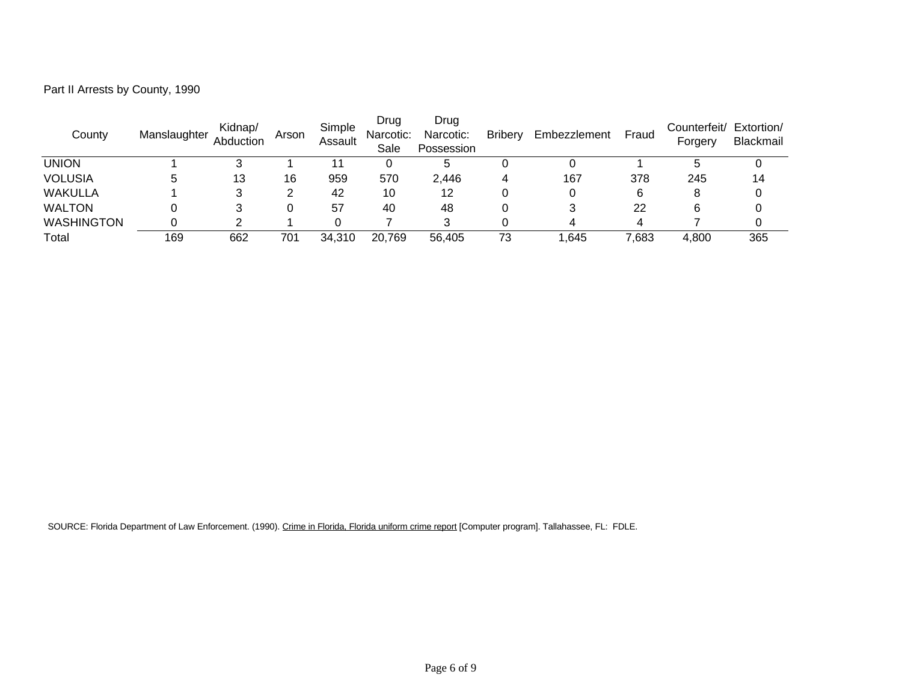| Part II Arrests by County, 1990 |  |  |
|---------------------------------|--|--|
|---------------------------------|--|--|

| County            | Manslaughter | Kidnap/<br>Abduction | Arson | Simple<br>Assault | Drug<br>Narcotic:<br>Sale | Drug<br>Narcotic:<br>Possession | <b>Bribery</b> | Embezzlement | Fraud | Counterfeit/ Extortion/<br>Forgery | Blackmail |
|-------------------|--------------|----------------------|-------|-------------------|---------------------------|---------------------------------|----------------|--------------|-------|------------------------------------|-----------|
| union             |              |                      |       |                   |                           | <sub>5</sub>                    |                |              |       |                                    |           |
| <b>VOLUSIA</b>    |              | 13                   | 16    | 959               | 570                       | 2,446                           | 4              | 167          | 378   | 245                                | 14        |
| WAKULLA           |              |                      |       | 42                | 10                        | 12                              |                |              | 6     | 8                                  |           |
| <b>WALTON</b>     |              |                      |       | 57                | 40                        | 48                              |                |              | 22    | 6                                  |           |
| <b>WASHINGTON</b> |              |                      |       |                   |                           |                                 |                |              |       |                                    |           |
| Total             | 169          | 662                  | 701   | 34.310            | 20,769                    | 56.405                          | 73             | .645         | 7,683 | 4,800                              | 365       |

SOURCE: Florida Department of Law Enforcement. (1990). Crime in Florida, Florida uniform crime report [Computer program]. Tallahassee, FL: FDLE.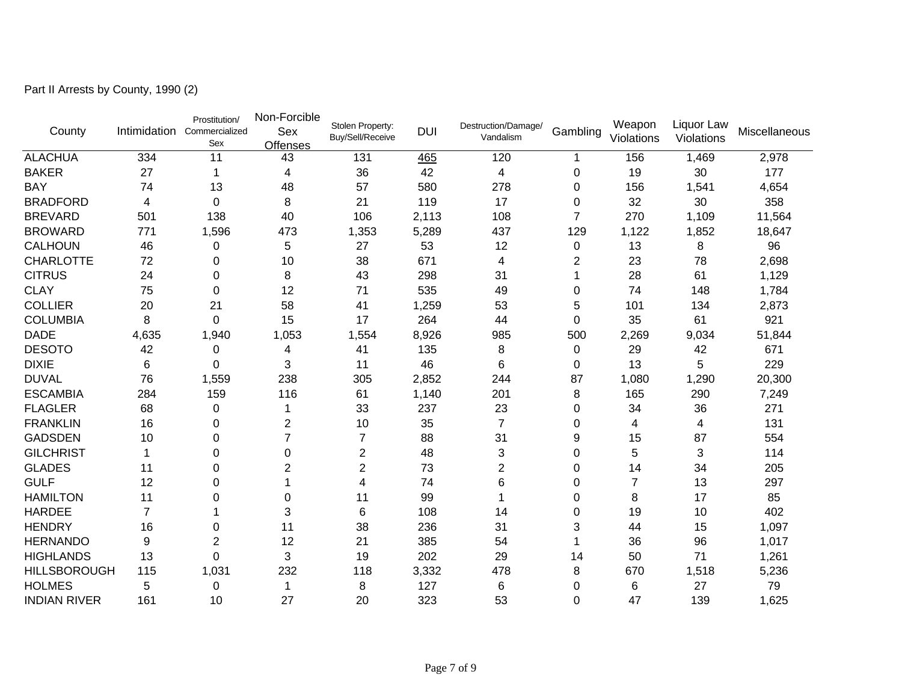Part II Arrests by County, 1990 (2)

| County              | Intimidation   | Prostitution/<br>Commercialized<br>Sex | Non-Forcible<br>Sex<br>Offenses | Stolen Property:<br>Buy/Sell/Receive | <b>DUI</b> | Destruction/Damage/<br>Vandalism | Gambling       | Weapon<br>Violations | Liquor Law<br>Violations | Miscellaneous |
|---------------------|----------------|----------------------------------------|---------------------------------|--------------------------------------|------------|----------------------------------|----------------|----------------------|--------------------------|---------------|
| <b>ALACHUA</b>      | 334            | 11                                     | 43                              | 131                                  | 465        | 120                              | 1              | 156                  | 1,469                    | 2,978         |
| <b>BAKER</b>        | 27             | 1                                      | 4                               | 36                                   | 42         | 4                                | 0              | 19                   | 30                       | 177           |
| <b>BAY</b>          | 74             | 13                                     | 48                              | 57                                   | 580        | 278                              | 0              | 156                  | 1,541                    | 4,654         |
| <b>BRADFORD</b>     | 4              | 0                                      | 8                               | 21                                   | 119        | 17                               | 0              | 32                   | 30                       | 358           |
| <b>BREVARD</b>      | 501            | 138                                    | 40                              | 106                                  | 2,113      | 108                              | 7              | 270                  | 1,109                    | 11,564        |
| <b>BROWARD</b>      | 771            | 1,596                                  | 473                             | 1,353                                | 5,289      | 437                              | 129            | 1,122                | 1,852                    | 18,647        |
| <b>CALHOUN</b>      | 46             | 0                                      | 5                               | 27                                   | 53         | 12                               | 0              | 13                   | 8                        | 96            |
| <b>CHARLOTTE</b>    | 72             | 0                                      | 10                              | 38                                   | 671        | 4                                | $\overline{2}$ | 23                   | 78                       | 2,698         |
| <b>CITRUS</b>       | 24             | 0                                      | 8                               | 43                                   | 298        | 31                               | 1              | 28                   | 61                       | 1,129         |
| <b>CLAY</b>         | 75             | $\pmb{0}$                              | 12                              | 71                                   | 535        | 49                               | 0              | 74                   | 148                      | 1,784         |
| <b>COLLIER</b>      | 20             | 21                                     | 58                              | 41                                   | 1,259      | 53                               | 5              | 101                  | 134                      | 2,873         |
| <b>COLUMBIA</b>     | 8              | $\mathbf 0$                            | 15                              | 17                                   | 264        | 44                               | 0              | 35                   | 61                       | 921           |
| <b>DADE</b>         | 4,635          | 1,940                                  | 1,053                           | 1,554                                | 8,926      | 985                              | 500            | 2,269                | 9,034                    | 51,844        |
| <b>DESOTO</b>       | 42             | 0                                      | 4                               | 41                                   | 135        | 8                                | 0              | 29                   | 42                       | 671           |
| <b>DIXIE</b>        | 6              | 0                                      | 3                               | 11                                   | 46         | 6                                | 0              | 13                   | 5                        | 229           |
| <b>DUVAL</b>        | 76             | 1,559                                  | 238                             | 305                                  | 2,852      | 244                              | 87             | 1,080                | 1,290                    | 20,300        |
| <b>ESCAMBIA</b>     | 284            | 159                                    | 116                             | 61                                   | 1,140      | 201                              | 8              | 165                  | 290                      | 7,249         |
| <b>FLAGLER</b>      | 68             | 0                                      | 1                               | 33                                   | 237        | 23                               | 0              | 34                   | 36                       | 271           |
| <b>FRANKLIN</b>     | 16             | 0                                      | $\overline{2}$                  | 10                                   | 35         | $\overline{7}$                   | 0              | 4                    | 4                        | 131           |
| <b>GADSDEN</b>      | 10             | 0                                      | 7                               | 7                                    | 88         | 31                               | 9              | 15                   | 87                       | 554           |
| <b>GILCHRIST</b>    | 1              | 0                                      | $\Omega$                        | $\overline{2}$                       | 48         | 3                                | 0              | 5                    | 3                        | 114           |
| <b>GLADES</b>       | 11             | 0                                      | $\overline{2}$                  | $\overline{2}$                       | 73         | 2                                | 0              | 14                   | 34                       | 205           |
| <b>GULF</b>         | 12             | 0                                      |                                 | 4                                    | 74         | 6                                | 0              | $\overline{7}$       | 13                       | 297           |
| <b>HAMILTON</b>     | 11             | 0                                      | 0                               | 11                                   | 99         | 1                                | 0              | 8                    | 17                       | 85            |
| <b>HARDEE</b>       | $\overline{7}$ |                                        | 3                               | 6                                    | 108        | 14                               | 0              | 19                   | 10                       | 402           |
| <b>HENDRY</b>       | 16             | 0                                      | 11                              | 38                                   | 236        | 31                               | 3              | 44                   | 15                       | 1,097         |
| <b>HERNANDO</b>     | 9              | $\overline{2}$                         | 12                              | 21                                   | 385        | 54                               |                | 36                   | 96                       | 1,017         |
| <b>HIGHLANDS</b>    | 13             | $\overline{0}$                         | 3                               | 19                                   | 202        | 29                               | 14             | 50                   | 71                       | 1,261         |
| <b>HILLSBOROUGH</b> | 115            | 1,031                                  | 232                             | 118                                  | 3,332      | 478                              | 8              | 670                  | 1,518                    | 5,236         |
| <b>HOLMES</b>       | 5              | 0                                      | 1                               | 8                                    | 127        | 6                                | 0              | 6                    | 27                       | 79            |
| <b>INDIAN RIVER</b> | 161            | 10                                     | 27                              | 20                                   | 323        | 53                               | $\mathbf 0$    | 47                   | 139                      | 1,625         |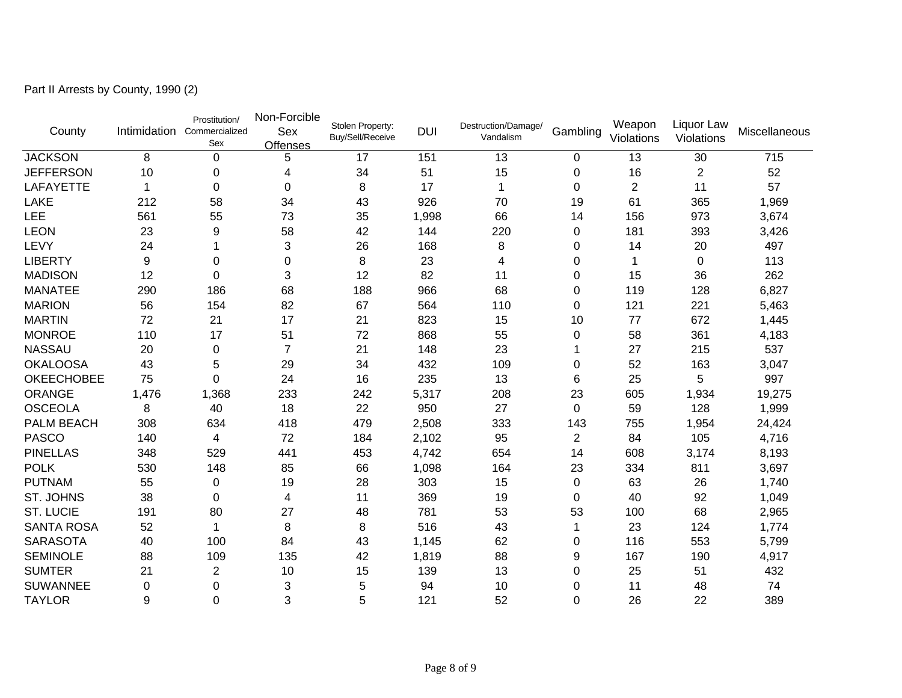Part II Arrests by County, 1990 (2)

| County            |       | Prostitution/<br>Intimidation Commercialized<br>Sex | Non-Forcible<br>Sex<br>Offenses | Stolen Property:<br>Buy/Sell/Receive | <b>DUI</b> | Destruction/Damage/<br>Vandalism | Gambling    | Weapon<br>Violations | Liquor Law<br>Violations | Miscellaneous |
|-------------------|-------|-----------------------------------------------------|---------------------------------|--------------------------------------|------------|----------------------------------|-------------|----------------------|--------------------------|---------------|
| <b>JACKSON</b>    | 8     | $\mathbf 0$                                         | 5                               | 17                                   | 151        | 13                               | 0           | 13                   | 30                       | 715           |
| <b>JEFFERSON</b>  | 10    | 0                                                   | 4                               | 34                                   | 51         | 15                               | 0           | 16                   | $\overline{2}$           | 52            |
| <b>LAFAYETTE</b>  | 1     | $\Omega$                                            | $\Omega$                        | 8                                    | 17         | $\mathbf 1$                      | $\Omega$    | $\overline{2}$       | 11                       | 57            |
| LAKE              | 212   | 58                                                  | 34                              | 43                                   | 926        | 70                               | 19          | 61                   | 365                      | 1,969         |
| LEE               | 561   | 55                                                  | 73                              | 35                                   | 1,998      | 66                               | 14          | 156                  | 973                      | 3,674         |
| <b>LEON</b>       | 23    | 9                                                   | 58                              | 42                                   | 144        | 220                              | 0           | 181                  | 393                      | 3,426         |
| LEVY              | 24    | 1                                                   | 3                               | 26                                   | 168        | 8                                | 0           | 14                   | 20                       | 497           |
| <b>LIBERTY</b>    | 9     | $\Omega$                                            | $\Omega$                        | 8                                    | 23         | 4                                | 0           | 1                    | 0                        | 113           |
| <b>MADISON</b>    | 12    | $\Omega$                                            | 3                               | 12                                   | 82         | 11                               | 0           | 15                   | 36                       | 262           |
| <b>MANATEE</b>    | 290   | 186                                                 | 68                              | 188                                  | 966        | 68                               | $\pmb{0}$   | 119                  | 128                      | 6,827         |
| <b>MARION</b>     | 56    | 154                                                 | 82                              | 67                                   | 564        | 110                              | 0           | 121                  | 221                      | 5,463         |
| <b>MARTIN</b>     | 72    | 21                                                  | 17                              | 21                                   | 823        | 15                               | 10          | 77                   | 672                      | 1,445         |
| <b>MONROE</b>     | 110   | 17                                                  | 51                              | 72                                   | 868        | 55                               | 0           | 58                   | 361                      | 4,183         |
| <b>NASSAU</b>     | 20    | $\pmb{0}$                                           | $\overline{7}$                  | 21                                   | 148        | 23                               |             | 27                   | 215                      | 537           |
| <b>OKALOOSA</b>   | 43    | 5                                                   | 29                              | 34                                   | 432        | 109                              | 0           | 52                   | 163                      | 3,047         |
| <b>OKEECHOBEE</b> | 75    | $\mathbf 0$                                         | 24                              | 16                                   | 235        | 13                               | 6           | 25                   | 5                        | 997           |
| <b>ORANGE</b>     | 1,476 | 1,368                                               | 233                             | 242                                  | 5,317      | 208                              | 23          | 605                  | 1,934                    | 19,275        |
| <b>OSCEOLA</b>    | 8     | 40                                                  | 18                              | 22                                   | 950        | 27                               | $\mathbf 0$ | 59                   | 128                      | 1,999         |
| PALM BEACH        | 308   | 634                                                 | 418                             | 479                                  | 2,508      | 333                              | 143         | 755                  | 1,954                    | 24,424        |
| <b>PASCO</b>      | 140   | 4                                                   | 72                              | 184                                  | 2,102      | 95                               | 2           | 84                   | 105                      | 4,716         |
| <b>PINELLAS</b>   | 348   | 529                                                 | 441                             | 453                                  | 4,742      | 654                              | 14          | 608                  | 3,174                    | 8,193         |
| <b>POLK</b>       | 530   | 148                                                 | 85                              | 66                                   | 1,098      | 164                              | 23          | 334                  | 811                      | 3,697         |
| <b>PUTNAM</b>     | 55    | $\pmb{0}$                                           | 19                              | 28                                   | 303        | 15                               | 0           | 63                   | 26                       | 1,740         |
| ST. JOHNS         | 38    | 0                                                   | 4                               | 11                                   | 369        | 19                               | 0           | 40                   | 92                       | 1,049         |
| <b>ST. LUCIE</b>  | 191   | 80                                                  | 27                              | 48                                   | 781        | 53                               | 53          | 100                  | 68                       | 2,965         |
| <b>SANTA ROSA</b> | 52    | 1                                                   | 8                               | 8                                    | 516        | 43                               | 1           | 23                   | 124                      | 1,774         |
| <b>SARASOTA</b>   | 40    | 100                                                 | 84                              | 43                                   | 1,145      | 62                               | 0           | 116                  | 553                      | 5,799         |
| <b>SEMINOLE</b>   | 88    | 109                                                 | 135                             | 42                                   | 1,819      | 88                               | 9           | 167                  | 190                      | 4,917         |
| <b>SUMTER</b>     | 21    | $\overline{2}$                                      | 10                              | 15                                   | 139        | 13                               | 0           | 25                   | 51                       | 432           |
| <b>SUWANNEE</b>   | 0     | 0                                                   | 3                               | 5                                    | 94         | 10                               | 0           | 11                   | 48                       | 74            |
| <b>TAYLOR</b>     | 9     | $\mathbf 0$                                         | 3                               | 5                                    | 121        | 52                               | $\mathbf 0$ | 26                   | 22                       | 389           |